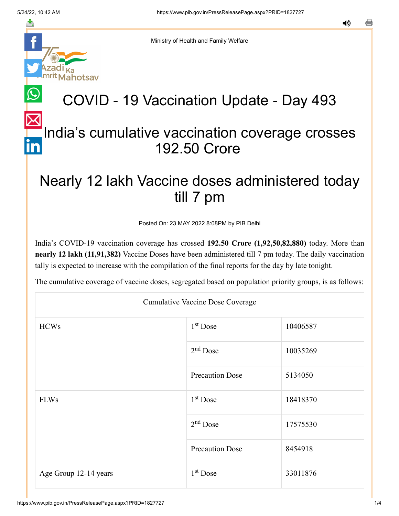

Ministry of Health and Family Welfare

## COVID - 19 Vaccination Update - Day 493

## [In](https://www.linkedin.com/shareArticle?mini=true&url=https://pib.gov.in/PressReleasePage.aspx?PRID=1827727&title=COVID%20-%2019%20Vaccination%20Update%20-%20Day%20493&summary=My%20favorite%20developer%20program&source=LinkedIn)dia's cumulative vaccination coverage crosses 192.50 Crore

## Nearly 12 lakh Vaccine doses administered today till 7 pm

Posted On: 23 MAY 2022 8:08PM by PIB Delhi

India's COVID-19 vaccination coverage has crossed **192.50 Crore (1,92,50,82,880)** today. More than **nearly 12 lakh (11,91,382)** Vaccine Doses have been administered till 7 pm today. The daily vaccination tally is expected to increase with the compilation of the final reports for the day by late tonight.

The cumulative coverage of vaccine doses, segregated based on population priority groups, is as follows:

| <b>Cumulative Vaccine Dose Coverage</b> |                        |          |  |  |
|-----------------------------------------|------------------------|----------|--|--|
| <b>HCWs</b>                             | $1st$ Dose             | 10406587 |  |  |
|                                         | $2nd$ Dose             | 10035269 |  |  |
|                                         | <b>Precaution Dose</b> | 5134050  |  |  |
| <b>FLWs</b>                             | $1st$ Dose             | 18418370 |  |  |
|                                         | $2nd$ Dose             | 17575530 |  |  |
|                                         | <b>Precaution Dose</b> | 8454918  |  |  |
| Age Group 12-14 years                   | $1st$ Dose             | 33011876 |  |  |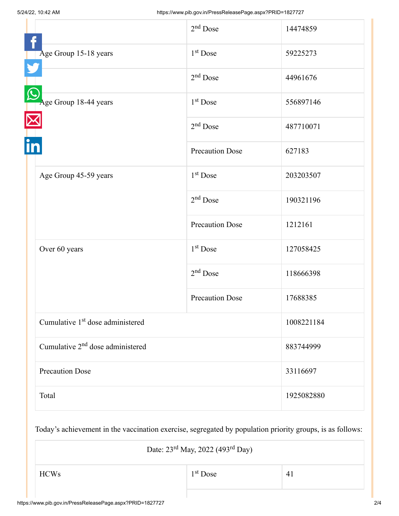|                                              | $2nd$ Dose             | 14474859   |
|----------------------------------------------|------------------------|------------|
| Age Group 15-18 years                        | $1st$ Dose             | 59225273   |
|                                              | $2nd$ Dose             | 44961676   |
| Age Group 18-44 years                        | $1st$ Dose             | 556897146  |
|                                              | $2nd$ Dose             | 487710071  |
|                                              | <b>Precaution Dose</b> | 627183     |
| Age Group 45-59 years                        | $1st$ Dose             | 203203507  |
|                                              | $2nd$ Dose             | 190321196  |
|                                              | <b>Precaution Dose</b> | 1212161    |
| Over 60 years                                | 1 <sup>st</sup> Dose   | 127058425  |
|                                              | $2nd$ Dose             | 118666398  |
|                                              | <b>Precaution Dose</b> | 17688385   |
| Cumulative 1 <sup>st</sup> dose administered |                        | 1008221184 |
| Cumulative 2 <sup>nd</sup> dose administered |                        | 883744999  |
| <b>Precaution Dose</b>                       |                        | 33116697   |
| Total                                        |                        | 1925082880 |

Today's achievement in the vaccination exercise, segregated by population priority groups, is as follows:

Date: 23<sup>rd</sup> May, 2022 (493<sup>rd</sup> Day)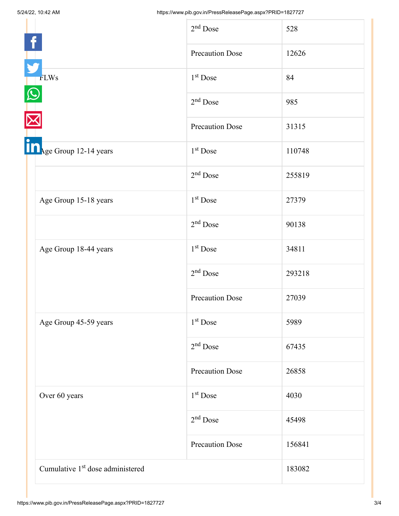|                                              | $2nd$ Dose             | 528    |
|----------------------------------------------|------------------------|--------|
|                                              | <b>Precaution Dose</b> | 12626  |
| <b>FLWs</b>                                  | $1st$ Dose             | 84     |
|                                              | $2nd$ Dose             | 985    |
|                                              | <b>Precaution Dose</b> | 31315  |
| In <sub>Age</sub> Group 12-14 years          | 1 <sup>st</sup> Dose   | 110748 |
|                                              | $2nd$ Dose             | 255819 |
| Age Group 15-18 years                        | 1 <sup>st</sup> Dose   | 27379  |
|                                              | $2nd$ Dose             | 90138  |
| Age Group 18-44 years                        | $1st$ Dose             | 34811  |
|                                              | $2nd$ Dose             | 293218 |
|                                              | <b>Precaution Dose</b> | 27039  |
| Age Group 45-59 years                        | $1st$ Dose             | 5989   |
|                                              | $2nd$ Dose             | 67435  |
|                                              | <b>Precaution Dose</b> | 26858  |
| Over 60 years                                | $1st$ Dose             | 4030   |
|                                              | $2nd$ Dose             | 45498  |
|                                              | <b>Precaution Dose</b> | 156841 |
| Cumulative 1 <sup>st</sup> dose administered |                        | 183082 |